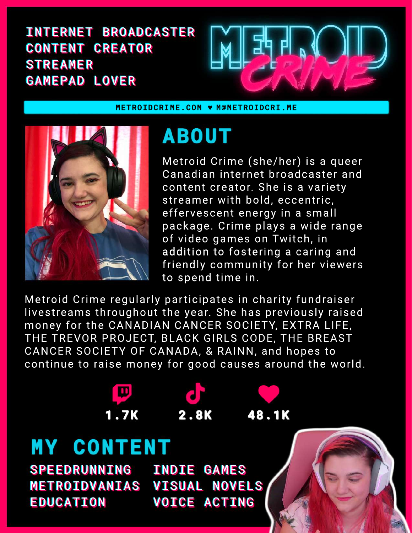### INTERNET BROADCASTER CONTENT CREATOR STREAMER GAMEPAD LOVER



**METROIDCRIME.COM** ♥ **M@METROIDCRI.ME**



**MY CONTENT**

EDUCATION

SPEEDRUNNING INDIE GAMES

D.

METROIDVANIAS VISUAL NOVELS

# **ABOUT**

Metroid Crime (she/her) is a queer Canadian internet broadcaster and content creator. She is a variety streamer with bold, eccentric, effervescent energy in a small package. Crime plays a wide range of video games on Twitch, in addition to fostering a caring and friendly community for her viewers to spend time in.

Metroid Crime regularly participates in charity fundraiser livestreams throughout the year. She has previously raised money for the CANADIAN CANCER SOCIETY, EXTRA LIFE, THE TREVOR PROJECT, BLACK GIRLS CODE, THE BREAST CANCER SOCIETY OF CANADA, & RAINN, and hopes to continue to raise money for good causes around the world.

**48.1K 1.7K 2.8K**

VOICE ACTING